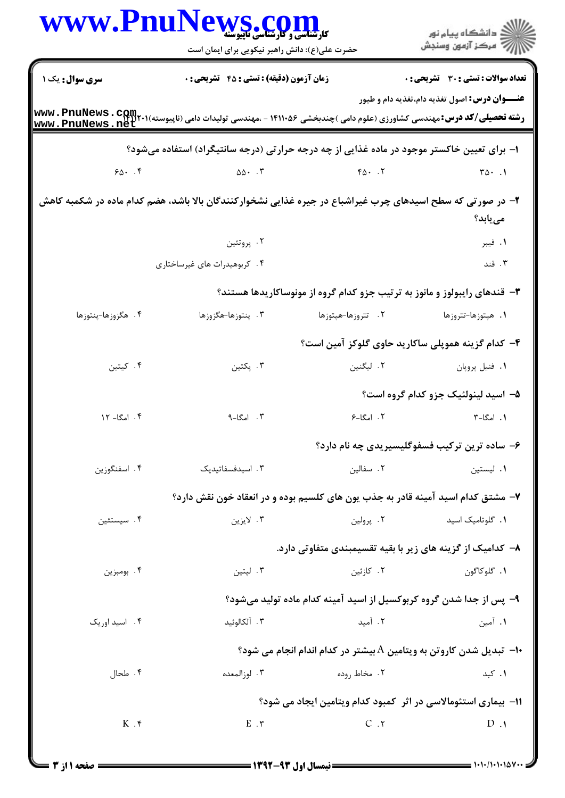|                    | WWW.PnuNews.com                                                                                            |                                                                                  | ڪ دانشڪاه پيا <sub>م</sub> نور<br>∕7 مرڪز آزمون وسنڊش |
|--------------------|------------------------------------------------------------------------------------------------------------|----------------------------------------------------------------------------------|-------------------------------------------------------|
|                    | حضرت علی(ع): دانش راهبر نیکویی برای ایمان است                                                              |                                                                                  |                                                       |
| سری سوال: یک ۱     | <b>زمان آزمون (دقیقه) : تستی : 45 گتشریحی : 0</b>                                                          |                                                                                  | تعداد سوالات : تستي : 30 ٪ تشريحي : 0                 |
| www.PnuNews.net    |                                                                                                            |                                                                                  | <b>عنـــوان درس:</b> اصول تغذیه دام،تغذیه دام و طیور  |
|                    | ا- برای تعیین خاکستر موجود در ماده غذایی از چه درجه حرارتی (درجه سانتیگراد) استفاده میشود؟                 |                                                                                  |                                                       |
| $90 - 5$           | $\Delta \Delta \cdot \cdot \cdot \mathsf{r}$                                                               | $FA.$ $.7$                                                                       | $\mathbf{r}\mathbf{w}\cdot\mathbf{v}$                 |
|                    | ۲– در صورتی که سطح اسیدهای چرب غیراشباع در جیره غذایی نشخوارکنندگان بالا باشد، هضم کدام ماده در شکمبه کاهش |                                                                                  | می یابد؟                                              |
|                    | ۰۲ پروتئين                                                                                                 |                                                                                  | ۰۱ فیبر                                               |
|                    | ۰۴ کربوهیدرات های غیرساختاری                                                                               |                                                                                  | ۰۳ قند                                                |
|                    |                                                                                                            | ۳- قندهای رایبولوز و مانوز به ترتیب جزو کدام گروه از مونوساکاریدها هستند؟        |                                                       |
| ۴. هگزوزها-پنتوزها | ۰۳ پنتوزها-هگزوزها                                                                                         | ۲. تتروزها-هپتوزها                                                               | ۰۱ هپتوزها-تتروزها                                    |
|                    |                                                                                                            | ۴– کدام گزینه هموپلی ساکارید حاوی گلوکز آمین است؟                                |                                                       |
| ۰۴ کیتین           | ۰۳ پکتين                                                                                                   | ۲. لیگنین                                                                        | ٠١. فنيل پروپان                                       |
|                    |                                                                                                            |                                                                                  | ۵– اسید لینولئیک جزو کدام گروه است؟                   |
| ۰۴ امگا- ۱۲        | $\n  n$ . امگا-۹                                                                                           | ۲. امگا-۶                                                                        | ۰۱ امگا-۳                                             |
|                    |                                                                                                            |                                                                                  | ۶- ساده ترین ترکیب فسفوگلیسیریدی چه نام دارد؟         |
| ۰۴ اسفنگوزین       | ۰۳ اسیدفسفاتیدیک                                                                                           | ٢. سفالين                                                                        | ٠١. ليستين                                            |
|                    |                                                                                                            | ۷– مشتق کدام اسید آمینه قادر به جذب یون های کلسیم بوده و در انعقاد خون نقش دارد؟ |                                                       |
| ۰۴ سیستئین         | ۰۳ لايزين                                                                                                  | ۰۲ پرولین                                                                        | ٠١. گلوتاميک اسيد                                     |
|                    |                                                                                                            | ۸– کدامیک از گزینه های زیر با بقیه تقسیمبندی متفاوتی دارد.                       |                                                       |
| ۰۴ بومبزين         | ۰۳ لپتين                                                                                                   | ۰۲ کازئین                                                                        | ١. گلوكاگون                                           |
|                    |                                                                                                            | ۹- پس از جدا شدن گروه کربوکسیل از اسید آمینه کدام ماده تولید میشود؟              |                                                       |
| ۰۴ اسید اوریک      | ۰۳ آلکالوئید                                                                                               | ۰۲ آمید                                                                          | ۰۱ آمین                                               |
|                    |                                                                                                            | ∙ا−  تبدیل شدن کاروتن به ویتامین A بیشتر در کدام اندام انجام می شود؟             |                                                       |
| ۰۴ طحال            | ۰۳ لوزالمعده                                                                                               | ۲. مخاط روده                                                                     | ۰۱ کبد                                                |
|                    |                                                                                                            | 11- بیماری استئومالاسی در اثر کمبود کدام ویتامین ایجاد می شود؟                   |                                                       |
| $K \cdot$          | $E \cdot \tau$                                                                                             | C.7                                                                              | $D \cdot 1$                                           |
|                    |                                                                                                            |                                                                                  |                                                       |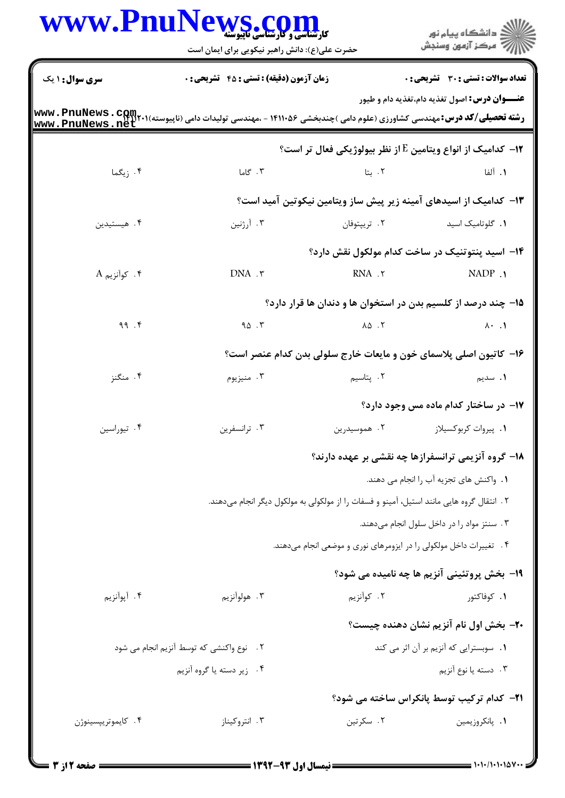|                                          | WWW.PnuNews.com<br>حضرت علی(ع): دانش راهبر نیکویی برای ایمان است                           |                                                                    | <mark>ڪ</mark> دانشڪاه پيام نور<br>رآب آمرڪز آزمون وسنڊش |  |  |
|------------------------------------------|--------------------------------------------------------------------------------------------|--------------------------------------------------------------------|----------------------------------------------------------|--|--|
| <b>سری سوال :</b> ۱ یک                   | <b>زمان آزمون (دقیقه) : تستی : 45 گشریحی : 0</b>                                           |                                                                    | تعداد سوالات : تستى : 30 قشريحى : 0                      |  |  |
| www.PnuNews.net                          |                                                                                            |                                                                    | <b>عنــــوان درس:</b> اصول تغذیه دام،تغذیه دام و طیور    |  |  |
|                                          |                                                                                            | ۱۲− کدامیک از انواع ویتامین E از نظر بیولوژیکی فعال تر است؟        |                                                          |  |  |
| ۰۴ زیگما                                 | ۰۳ گاما                                                                                    | ۰۲ بتا                                                             | ٠١. آلفا                                                 |  |  |
|                                          |                                                                                            | ۱۳– کدامیک از اسیدهای آمینه زیر پیش ساز ویتامین نیکوتین آمید است؟  |                                                          |  |  |
| ۴. هیستیدین                              | ۰۳ آرژنین                                                                                  | ۰۲ تریپتوفان                                                       | ۰۱ گلوتامیک اسید                                         |  |  |
|                                          |                                                                                            | <b>۱۴</b> - اسید پنتوتنیک در ساخت کدام مولکول نقش دارد؟            |                                                          |  |  |
| $A_{\rho}$ ۰۴ کوآنزیم $\cdot$ ۴          | DNA . ٣                                                                                    | RNA .٢                                                             | NADP .                                                   |  |  |
|                                          |                                                                                            | ۱۵– چند درصد از کلسیم بدن در استخوان ها و دندان ها قرار دارد؟      |                                                          |  |  |
| 99.7                                     | 90.7                                                                                       | $\Lambda \Delta$ . T                                               | $\lambda \cdot \lambda$                                  |  |  |
|                                          |                                                                                            | ۱۶– کاتیون اصلی پلاسمای خون و مایعات خارج سلولی بدن کدام عنصر است؟ |                                                          |  |  |
| ۰۴ منگنز                                 | ۰۳ منیزیوم                                                                                 | ۲. پتاسیم                                                          | <b>۱</b> . سدیم                                          |  |  |
|                                          |                                                                                            |                                                                    | ۱۷- در ساختار کدام ماده مس وجود دارد؟                    |  |  |
| ۰۴ تیوراسین                              | ۰۳ ترانسفرين                                                                               | ۲. هموسیدرین                                                       | ۰۱ پیروات کربوکسیلاز                                     |  |  |
|                                          |                                                                                            | ۱۸– گروه آنزیمی ترانسفرازها چه نقشی بر عهده دارند؟                 |                                                          |  |  |
|                                          |                                                                                            |                                                                    | ١.  واكنش هاى تجزيه آب را انجام مى دهند.                 |  |  |
|                                          | ۲ . انتقال گروه هایی مانند استیل، آمینو و فسفات را از مولکولی به مولکول دیگر انجام میدهند. |                                                                    |                                                          |  |  |
|                                          |                                                                                            |                                                                    | ۰۳ سنتز مواد را در داخل سلول انجام میدهند.               |  |  |
|                                          |                                                                                            | ۰۴ تغییرات داخل مولکولی را در ایزومرهای نوری و موضعی انجام میدهند. |                                                          |  |  |
|                                          |                                                                                            |                                                                    | <b>۱۹- بخش پروتئینی آنزیم ها چه نامیده می شود؟</b>       |  |  |
| ۰۴ آپوآنزیم                              | ۰۳ هولوآنزيم                                                                               | ۲. کوآنزیم                                                         | ۰۱ کوفاکتور                                              |  |  |
|                                          |                                                                                            |                                                                    | <b>۲۰</b> بخش اول نام آنزیم نشان دهنده چیست؟             |  |  |
| ٢. نوع واكنشى كه توسط آنزيم انجام مى شود |                                                                                            |                                                                    | ١. سوبسترايي كه آنزيم بر آن اثر مي كند                   |  |  |
|                                          | ۰۴ زیر دسته یا گروه آنزیم                                                                  |                                                                    | ۰۳ دسته یا نوع آنزیم                                     |  |  |
|                                          |                                                                                            |                                                                    | <b>۲۱</b> - کدام ترکیب توسط پانکراس ساخته می شود؟        |  |  |
| ۰۴ کايموتريپسينوژن                       | ۰۳ انتروکیناز                                                                              | ۰۲ سکرتین                                                          | ٠١. پانكروزيمين                                          |  |  |
|                                          |                                                                                            |                                                                    |                                                          |  |  |